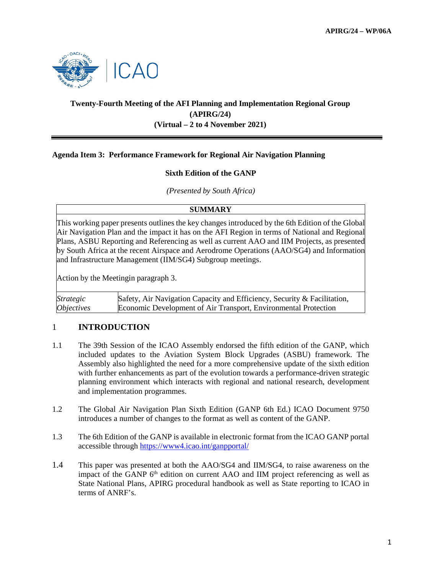

# **Twenty-Fourth Meeting of the AFI Planning and Implementation Regional Group (APIRG/24) (Virtual – 2 to 4 November 2021)**

## **Agenda Item 3: Performance Framework for Regional Air Navigation Planning**

## **Sixth Edition of the GANP**

*(Presented by South Africa)*

#### **SUMMARY**

This working paper presents outlines the key changes introduced by the 6th Edition of the Global Air Navigation Plan and the impact it has on the AFI Region in terms of National and Regional Plans, ASBU Reporting and Referencing as well as current AAO and IIM Projects, as presented by South Africa at the recent Airspace and Aerodrome Operations (AAO/SG4) and Information and Infrastructure Management (IIM/SG4) Subgroup meetings.

Action by the Meetingin paragraph 3.

*Strategic Objectives* Safety, Air Navigation Capacity and Efficiency, Security & Facilitation, Economic Development of Air Transport, Environmental Protection

## 1 **INTRODUCTION**

- 1.1 The 39th Session of the ICAO Assembly endorsed the fifth edition of the GANP, which included updates to the Aviation System Block Upgrades (ASBU) framework. The Assembly also highlighted the need for a more comprehensive update of the sixth edition with further enhancements as part of the evolution towards a performance-driven strategic planning environment which interacts with regional and national research, development and implementation programmes.
- 1.2 The Global Air Navigation Plan Sixth Edition (GANP 6th Ed.) ICAO Document 9750 introduces a number of changes to the format as well as content of the GANP.
- 1.3 The 6th Edition of the GANP is available in electronic format from the ICAO GANP portal accessible through<https://www4.icao.int/ganpportal/>
- 1.4 This paper was presented at both the AAO/SG4 and IIM/SG4, to raise awareness on the impact of the GANP 6<sup>th</sup> edition on current AAO and IIM project referencing as well as State National Plans, APIRG procedural handbook as well as State reporting to ICAO in terms of ANRF's.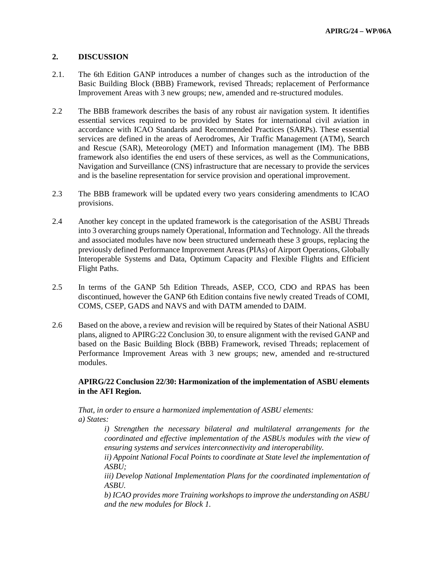## **2. DISCUSSION**

- 2.1. The 6th Edition GANP introduces a number of changes such as the introduction of the Basic Building Block (BBB) Framework, revised Threads; replacement of Performance Improvement Areas with 3 new groups; new, amended and re-structured modules.
- 2.2 The BBB framework describes the basis of any robust air navigation system. It identifies essential services required to be provided by States for international civil aviation in accordance with ICAO Standards and Recommended Practices (SARPs). These essential services are defined in the areas of Aerodromes, Air Traffic Management (ATM), Search and Rescue (SAR), Meteorology (MET) and Information management (IM). The BBB framework also identifies the end users of these services, as well as the Communications, Navigation and Surveillance (CNS) infrastructure that are necessary to provide the services and is the baseline representation for service provision and operational improvement.
- 2.3 The BBB framework will be updated every two years considering amendments to ICAO provisions.
- 2.4 Another key concept in the updated framework is the categorisation of the ASBU Threads into 3 overarching groups namely Operational, Information and Technology. All the threads and associated modules have now been structured underneath these 3 groups, replacing the previously defined Performance Improvement Areas (PIAs) of Airport Operations, Globally Interoperable Systems and Data, Optimum Capacity and Flexible Flights and Efficient Flight Paths.
- 2.5 In terms of the GANP 5th Edition Threads, ASEP, CCO, CDO and RPAS has been discontinued, however the GANP 6th Edition contains five newly created Treads of COMI, COMS, CSEP, GADS and NAVS and with DATM amended to DAIM.
- 2.6 Based on the above, a review and revision will be required by States of their National ASBU plans, aligned to APIRG:22 Conclusion 30, to ensure alignment with the revised GANP and based on the Basic Building Block (BBB) Framework, revised Threads; replacement of Performance Improvement Areas with 3 new groups; new, amended and re-structured modules.

## **APIRG/22 Conclusion 22/30: Harmonization of the implementation of ASBU elements in the AFI Region.**

*That, in order to ensure a harmonized implementation of ASBU elements: a) States:*

> *i) Strengthen the necessary bilateral and multilateral arrangements for the coordinated and effective implementation of the ASBUs modules with the view of ensuring systems and services interconnectivity and interoperability.*

> *ii) Appoint National Focal Points to coordinate at State level the implementation of ASBU;*

> *iii) Develop National Implementation Plans for the coordinated implementation of ASBU.*

> *b) ICAO provides more Training workshops to improve the understanding on ASBU and the new modules for Block 1.*